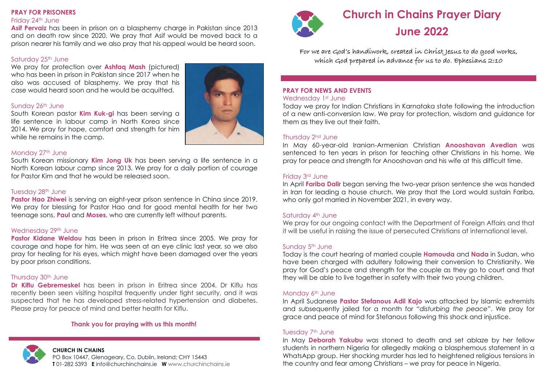## **PRAY FOR PRISONERS**

### Friday 24th June

**Asif Pervaiz** has been in prison on a blasphemy charge in Pakistan since 2013 and on death row since 2020. We pray that Asif would be moved back to a prison nearer his family and we also pray that his appeal would be heard soon.

# Saturday 25<sup>th</sup> June

We pray for protection over **Ashfaq Mash** (pictured) who has been in prison in Pakistan since 2017 when he also was accused of blasphemy. We pray that his case would heard soon and he would be acquitted.

# Sunday 26th June

South Korean pastor **Kim Kuk-gi** has been serving a life sentence in labour camp in North Korea since 2014. We pray for hope, comfort and strength for him while he remains in the camp.



South Korean missionary **Kim Jong Uk** has been serving a life sentence in a North Korean labour camp since 2013. We pray for a daily portion of courage for Pastor Kim and that he would be released soon.

# Tuesday 28th June

**Pastor Hao Zhiwei** is serving an eight-year prison sentence in China since 2019. We pray for blessing for Pastor Hao and for good mental health for her two teenage sons, **Paul** and **Moses**, who are currently left without parents.

# Wednesday 29th June

**Pastor Kidane Weldou** has been in prison in Eritrea since 2005. We pray for courage and hope for him. He was seen at an eye clinic last year, so we also pray for healing for his eyes, which might have been damaged over the years by poor prison conditions.

# Thursday 30th June

**Dr Kiflu Gebremeskel** has been in prison in Eritrea since 2004. Dr Kiflu has recently been seen visiting hospital frequently under tight security, and it was suspected that he has developed stress-related hypertension and diabetes. Please pray for peace of mind and better health for Kiflu.

# **Thank you for praying with us this month!**



# **CHURCH IN CHAINS**

PO Box 10447, Glenageary, Co. Dublin, Ireland; CHY 15443 **T** 01-282 5393 **E** info@churchinchains.ie **W** www.churchinchains.ie





# **Church in Chains Prayer Diary June 2022**

**For we are God's handiwork, created in Christ Jesus to do good works, which God prepared in advance for us to do. Ephesians 2:10**

#### **PRAY FOR NEWS AND EVENTS** Wednesday 1st June

Today we pray for Indian Christians in Karnataka state following the introduction of a new anti-conversion law. We pray for protection, wisdom and guidance for them as they live out their faith.

# Thursday 2nd June

In May 60-year-old Iranian-Armenian Christian **Anooshavan Avedian** was sentenced to ten years in prison for teaching other Christians in his home. We pray for peace and strength for Anooshavan and his wife at this difficult time.

## Friday 3rd June

In April **Fariba Dalir** began serving the two-year prison sentence she was handed in Iran for leading a house church. We pray that the Lord would sustain Fariba, who only got married in November 2021, in every way.

# Saturday 4th June

We pray for our ongoing contact with the Department of Foreign Affairs and that it will be useful in raising the issue of persecuted Christians at international level.

## Sunday 5th June

Today is the court hearing of married couple **Hamouda** and **Nada** in Sudan, who have been charged with adultery following their conversion to Christianity. We pray for God's peace and strength for the couple as they go to court and that they will be able to live together in safety with their two young children.

## Monday 6th June

In April Sudanese **Pastor Stefanous Adil Kajo** was attacked by Islamic extremists and subsequently jailed for a month for "*disturbing the peace*". We pray for grace and peace of mind for Stefanous following this shock and injustice.

## Tuesday 7<sup>th</sup> June

In May **Deborah Yakubu** was stoned to death and set ablaze by her fellow students in northern Nigeria for allegedly making a blasphemous statement in a WhatsApp group. Her shocking murder has led to heightened religious tensions in the country and fear among Christians – we pray for peace in Nigeria.